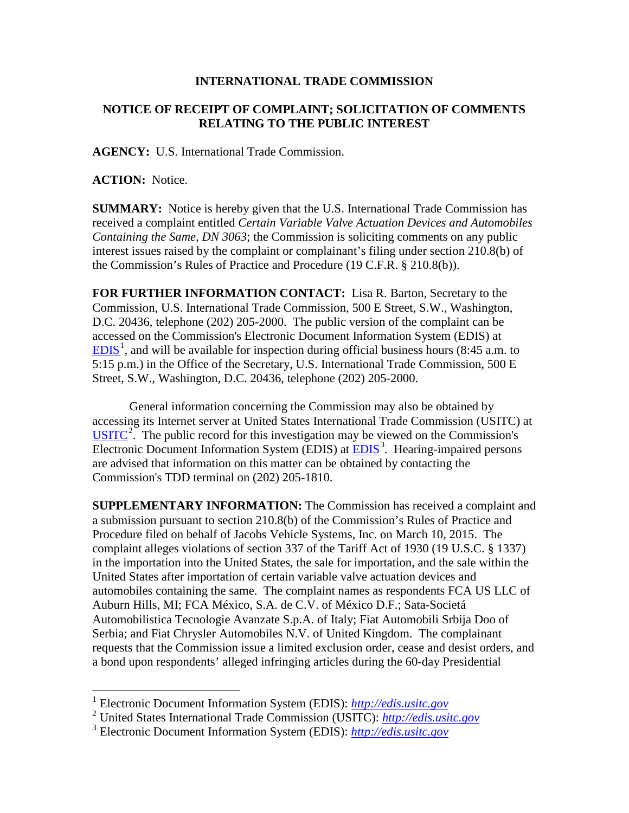## **INTERNATIONAL TRADE COMMISSION**

## **NOTICE OF RECEIPT OF COMPLAINT; SOLICITATION OF COMMENTS RELATING TO THE PUBLIC INTEREST**

**AGENCY:** U.S. International Trade Commission.

**ACTION:** Notice.

 $\overline{a}$ 

**SUMMARY:** Notice is hereby given that the U.S. International Trade Commission has received a complaint entitled *Certain Variable Valve Actuation Devices and Automobiles Containing the Same, DN 3063*; the Commission is soliciting comments on any public interest issues raised by the complaint or complainant's filing under section 210.8(b) of the Commission's Rules of Practice and Procedure (19 C.F.R. § 210.8(b)).

**FOR FURTHER INFORMATION CONTACT:** Lisa R. Barton, Secretary to the Commission, U.S. International Trade Commission, 500 E Street, S.W., Washington, D.C. 20436, telephone (202) 205-2000. The public version of the complaint can be accessed on the Commission's Electronic Document Information System (EDIS) at  $EDIS<sup>1</sup>$  $EDIS<sup>1</sup>$  $EDIS<sup>1</sup>$  $EDIS<sup>1</sup>$ , and will be available for inspection during official business hours (8:45 a.m. to 5:15 p.m.) in the Office of the Secretary, U.S. International Trade Commission, 500 E Street, S.W., Washington, D.C. 20436, telephone (202) 205-2000.

General information concerning the Commission may also be obtained by accessing its Internet server at United States International Trade Commission (USITC) at  $\overline{USTTC}^2$  $\overline{USTTC}^2$ . The public record for this investigation may be viewed on the Commission's Electronic Document Information System (EDIS) at **EDIS**<sup>[3](#page-0-2)</sup>. Hearing-impaired persons are advised that information on this matter can be obtained by contacting the Commission's TDD terminal on (202) 205-1810.

**SUPPLEMENTARY INFORMATION:** The Commission has received a complaint and a submission pursuant to section 210.8(b) of the Commission's Rules of Practice and Procedure filed on behalf of Jacobs Vehicle Systems, Inc. on March 10, 2015. The complaint alleges violations of section 337 of the Tariff Act of 1930 (19 U.S.C. § 1337) in the importation into the United States, the sale for importation, and the sale within the United States after importation of certain variable valve actuation devices and automobiles containing the same. The complaint names as respondents FCA US LLC of Auburn Hills, MI; FCA México, S.A. de C.V. of México D.F.; Sata-Societá Automobilistica Tecnologie Avanzate S.p.A. of Italy; Fiat Automobili Srbija Doo of Serbia; and Fiat Chrysler Automobiles N.V. of United Kingdom. The complainant requests that the Commission issue a limited exclusion order, cease and desist orders, and a bond upon respondents' alleged infringing articles during the 60-day Presidential

<span id="page-0-0"></span><sup>1</sup> Electronic Document Information System (EDIS): *[http://edis.usitc.gov](http://edis.usitc.gov/)*

<span id="page-0-1"></span><sup>2</sup> United States International Trade Commission (USITC): *[http://edis.usitc.gov](http://edis.usitc.gov/)*

<span id="page-0-2"></span><sup>3</sup> Electronic Document Information System (EDIS): *[http://edis.usitc.gov](http://edis.usitc.gov/)*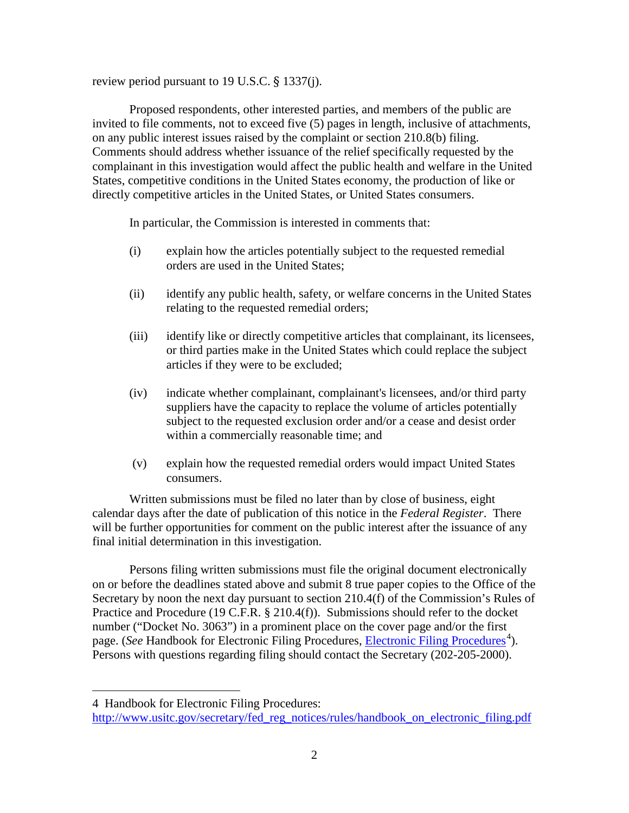review period pursuant to 19 U.S.C. § 1337(j).

Proposed respondents, other interested parties, and members of the public are invited to file comments, not to exceed five (5) pages in length, inclusive of attachments, on any public interest issues raised by the complaint or section 210.8(b) filing. Comments should address whether issuance of the relief specifically requested by the complainant in this investigation would affect the public health and welfare in the United States, competitive conditions in the United States economy, the production of like or directly competitive articles in the United States, or United States consumers.

In particular, the Commission is interested in comments that:

- (i) explain how the articles potentially subject to the requested remedial orders are used in the United States;
- (ii) identify any public health, safety, or welfare concerns in the United States relating to the requested remedial orders;
- (iii) identify like or directly competitive articles that complainant, its licensees, or third parties make in the United States which could replace the subject articles if they were to be excluded;
- (iv) indicate whether complainant, complainant's licensees, and/or third party suppliers have the capacity to replace the volume of articles potentially subject to the requested exclusion order and/or a cease and desist order within a commercially reasonable time; and
- (v) explain how the requested remedial orders would impact United States consumers.

Written submissions must be filed no later than by close of business, eight calendar days after the date of publication of this notice in the *Federal Register*. There will be further opportunities for comment on the public interest after the issuance of any final initial determination in this investigation.

Persons filing written submissions must file the original document electronically on or before the deadlines stated above and submit 8 true paper copies to the Office of the Secretary by noon the next day pursuant to section 210.4(f) of the Commission's Rules of Practice and Procedure (19 C.F.R. § 210.4(f)). Submissions should refer to the docket number ("Docket No. 3063") in a prominent place on the cover page and/or the first page. (*See* Handbook for [Electronic Filing Procedures](http://www.usitc.gov/secretary/fed_reg_notices/rules/handbook_on_electronic_filing.pdf), *Electronic Filing Procedures*<sup>[4](#page-1-0)</sup>). Persons with questions regarding filing should contact the Secretary (202-205-2000).

 $\overline{a}$ 

<span id="page-1-0"></span><sup>4</sup> Handbook for Electronic Filing Procedures:

[http://www.usitc.gov/secretary/fed\\_reg\\_notices/rules/handbook\\_on\\_electronic\\_filing.pdf](http://www.usitc.gov/secretary/fed_reg_notices/rules/handbook_on_electronic_filing.pdf)